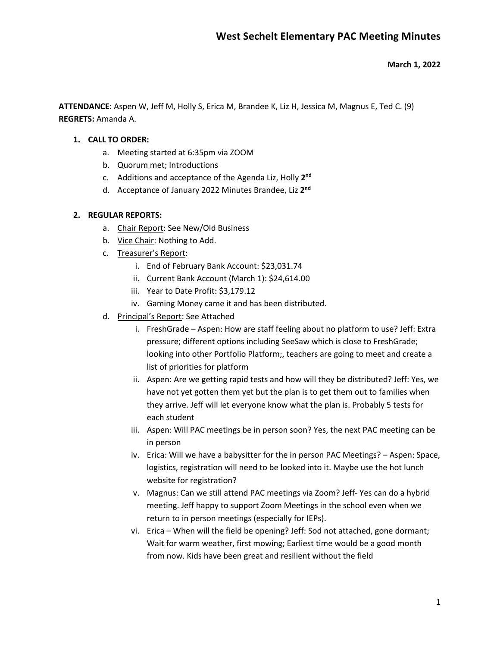#### **March 1, 2022**

**ATTENDANCE**: Aspen W, Jeff M, Holly S, Erica M, Brandee K, Liz H, Jessica M, Magnus E, Ted C. (9) **REGRETS:** Amanda A.

#### **1. CALL TO ORDER:**

- a. Meeting started at 6:35pm via ZOOM
- b. Quorum met; Introductions
- c. Additions and acceptance of the Agenda Liz, Holly **2nd**
- d. Acceptance of January 2022 Minutes Brandee, Liz **2nd**

#### **2. REGULAR REPORTS:**

- a. Chair Report: See New/Old Business
- b. Vice Chair: Nothing to Add.
- c. Treasurer's Report:
	- i. End of February Bank Account: \$23,031.74
	- ii. Current Bank Account (March 1): \$24,614.00
	- iii. Year to Date Profit: \$3,179.12
	- iv. Gaming Money came it and has been distributed.
- d. Principal's Report: See Attached
	- i. FreshGrade Aspen: How are staff feeling about no platform to use? Jeff: Extra pressure; different options including SeeSaw which is close to FreshGrade; looking into other Portfolio Platform;, teachers are going to meet and create a list of priorities for platform
	- ii. Aspen: Are we getting rapid tests and how will they be distributed? Jeff: Yes, we have not yet gotten them yet but the plan is to get them out to families when they arrive. Jeff will let everyone know what the plan is. Probably 5 tests for each student
	- iii. Aspen: Will PAC meetings be in person soon? Yes, the next PAC meeting can be in person
	- iv. Erica: Will we have a babysitter for the in person PAC Meetings? Aspen: Space, logistics, registration will need to be looked into it. Maybe use the hot lunch website for registration?
	- v. Magnus: Can we still attend PAC meetings via Zoom? Jeff- Yes can do a hybrid meeting. Jeff happy to support Zoom Meetings in the school even when we return to in person meetings (especially for IEPs).
	- vi. Erica When will the field be opening? Jeff: Sod not attached, gone dormant; Wait for warm weather, first mowing; Earliest time would be a good month from now. Kids have been great and resilient without the field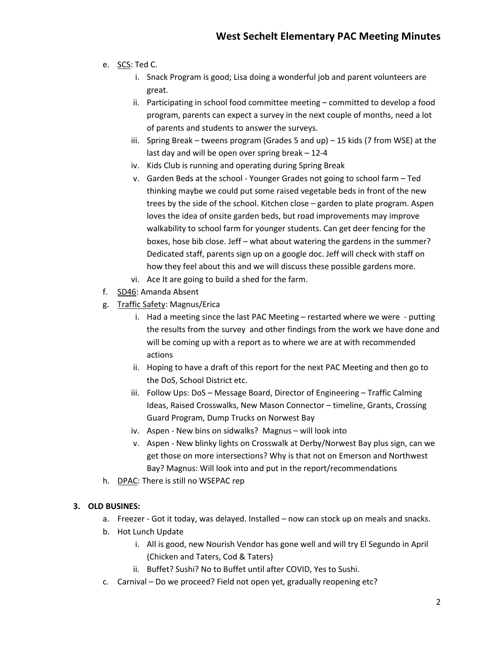- e. SCS: Ted C.
	- i. Snack Program is good; Lisa doing a wonderful job and parent volunteers are great.
	- ii. Participating in school food committee meeting committed to develop a food program, parents can expect a survey in the next couple of months, need a lot of parents and students to answer the surveys.
	- iii. Spring Break tweens program (Grades 5 and up) 15 kids (7 from WSE) at the last day and will be open over spring break – 12-4
	- iv. Kids Club is running and operating during Spring Break
	- v. Garden Beds at the school Younger Grades not going to school farm Ted thinking maybe we could put some raised vegetable beds in front of the new trees by the side of the school. Kitchen close – garden to plate program. Aspen loves the idea of onsite garden beds, but road improvements may improve walkability to school farm for younger students. Can get deer fencing for the boxes, hose bib close. Jeff – what about watering the gardens in the summer? Dedicated staff, parents sign up on a google doc. Jeff will check with staff on how they feel about this and we will discuss these possible gardens more.
	- vi. Ace It are going to build a shed for the farm.
- f. SD46: Amanda Absent
- g. Traffic Safety: Magnus/Erica
	- i. Had a meeting since the last PAC Meeting restarted where we were putting the results from the survey and other findings from the work we have done and will be coming up with a report as to where we are at with recommended actions
	- ii. Hoping to have a draft of this report for the next PAC Meeting and then go to the DoS, School District etc.
	- iii. Follow Ups: DoS Message Board, Director of Engineering Traffic Calming Ideas, Raised Crosswalks, New Mason Connector – timeline, Grants, Crossing Guard Program, Dump Trucks on Norwest Bay
	- iv. Aspen New bins on sidwalks? Magnus will look into
	- v. Aspen New blinky lights on Crosswalk at Derby/Norwest Bay plus sign, can we get those on more intersections? Why is that not on Emerson and Northwest Bay? Magnus: Will look into and put in the report/recommendations
- h. DPAC: There is still no WSEPAC rep

## **3. OLD BUSINES:**

- a. Freezer Got it today, was delayed. Installed now can stock up on meals and snacks.
- b. Hot Lunch Update
	- i. All is good, new Nourish Vendor has gone well and will try El Segundo in April (Chicken and Taters, Cod & Taters)
	- ii. Buffet? Sushi? No to Buffet until after COVID, Yes to Sushi.
- c. Carnival Do we proceed? Field not open yet, gradually reopening etc?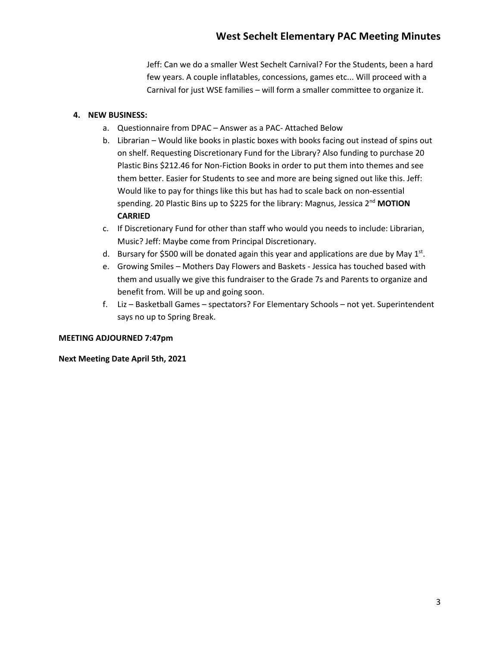Jeff: Can we do a smaller West Sechelt Carnival? For the Students, been a hard few years. A couple inflatables, concessions, games etc... Will proceed with a Carnival for just WSE families – will form a smaller committee to organize it.

# **4. NEW BUSINESS:**

- a. Questionnaire from DPAC Answer as a PAC- Attached Below
- b. Librarian Would like books in plastic boxes with books facing out instead of spins out on shelf. Requesting Discretionary Fund for the Library? Also funding to purchase 20 Plastic Bins \$212.46 for Non-Fiction Books in order to put them into themes and see them better. Easier for Students to see and more are being signed out like this. Jeff: Would like to pay for things like this but has had to scale back on non-essential spending. 20 Plastic Bins up to \$225 for the library: Magnus, Jessica 2nd **MOTION CARRIED**
- c. If Discretionary Fund for other than staff who would you needs to include: Librarian, Music? Jeff: Maybe come from Principal Discretionary.
- d. Bursary for \$500 will be donated again this year and applications are due by May  $1^{st}$ .
- e. Growing Smiles Mothers Day Flowers and Baskets Jessica has touched based with them and usually we give this fundraiser to the Grade 7s and Parents to organize and benefit from. Will be up and going soon.
- f. Liz Basketball Games spectators? For Elementary Schools not yet. Superintendent says no up to Spring Break.

## **MEETING ADJOURNED 7:47pm**

## **Next Meeting Date April 5th, 2021**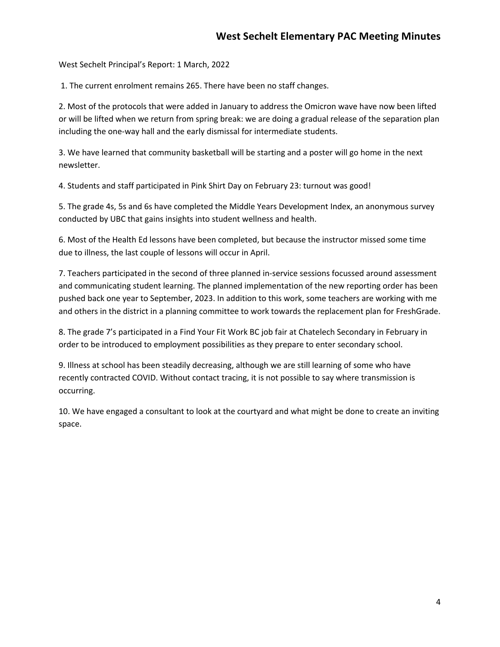West Sechelt Principal's Report: 1 March, 2022

1. The current enrolment remains 265. There have been no staff changes.

2. Most of the protocols that were added in January to address the Omicron wave have now been lifted or will be lifted when we return from spring break: we are doing a gradual release of the separation plan including the one-way hall and the early dismissal for intermediate students.

3. We have learned that community basketball will be starting and a poster will go home in the next newsletter.

4. Students and staff participated in Pink Shirt Day on February 23: turnout was good!

5. The grade 4s, 5s and 6s have completed the Middle Years Development Index, an anonymous survey conducted by UBC that gains insights into student wellness and health.

6. Most of the Health Ed lessons have been completed, but because the instructor missed some time due to illness, the last couple of lessons will occur in April.

7. Teachers participated in the second of three planned in-service sessions focussed around assessment and communicating student learning. The planned implementation of the new reporting order has been pushed back one year to September, 2023. In addition to this work, some teachers are working with me and others in the district in a planning committee to work towards the replacement plan for FreshGrade.

8. The grade 7's participated in a Find Your Fit Work BC job fair at Chatelech Secondary in February in order to be introduced to employment possibilities as they prepare to enter secondary school.

9. Illness at school has been steadily decreasing, although we are still learning of some who have recently contracted COVID. Without contact tracing, it is not possible to say where transmission is occurring.

10. We have engaged a consultant to look at the courtyard and what might be done to create an inviting space.